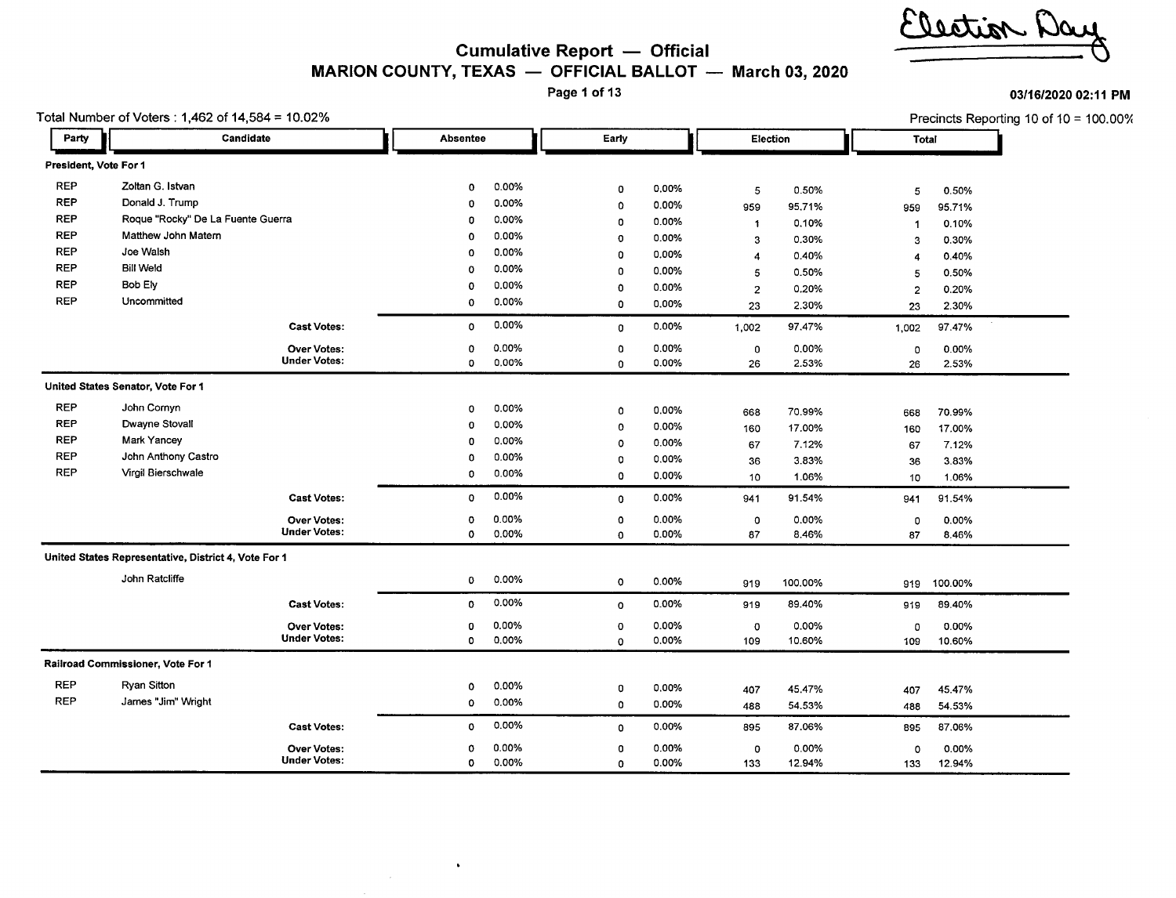# mitale?

#### **Cumulative Report - Official MARION COUNTY, TEXAS - OFFICIAL BALLOT March** 03, **2020**

Page 1 of 13

031161202002:11 **PM**

|                       | Total Number of Voters: 1,462 of 14,584 = 10.02%     |                                   |          |              |             |                |                           |         |                         |         | Precincts Reporting 10 of 10 = 100.00% |
|-----------------------|------------------------------------------------------|-----------------------------------|----------|--------------|-------------|----------------|---------------------------|---------|-------------------------|---------|----------------------------------------|
| Party                 |                                                      | Candidate                         | Absentee |              | Early       |                | Election                  |         | <b>Total</b>            |         |                                        |
| President, Vote For 1 |                                                      |                                   |          |              |             |                |                           |         |                         |         |                                        |
| <b>REP</b>            | Zoltan G. Istvan                                     |                                   | 0        | 0.00%        | 0           | 0.00%          | 5                         | 0.50%   | 5                       | 0.50%   |                                        |
| <b>REP</b>            | Donald J. Trump                                      |                                   | 0        | 0.00%        | $\mathbf 0$ | 0.00%          | 959                       | 95.71%  | 959                     | 95.71%  |                                        |
| <b>REP</b>            |                                                      | Roque "Rocky" De La Fuente Guerra | 0        | 0.00%        | $\circ$     | 0.00%<br>0.00% | $\ddot{\phantom{1}}$<br>3 | 0.10%   | $\mathbf{1}$            | 0.10%   |                                        |
| <b>REP</b>            | Matthew John Matern                                  |                                   | 0        | 0.00%        | $\mathbf 0$ |                |                           | 0.30%   | 3                       | 0.30%   |                                        |
| <b>REP</b>            | Joe Walsh                                            |                                   | 0        | 0.00%        | $\mathbf 0$ | 0.00%          | $\overline{4}$            | 0.40%   | 4                       | 0.40%   |                                        |
| <b>REP</b>            | <b>Bill Weld</b>                                     |                                   | 0        | 0.00%        | $\Omega$    | 0.00%          | 5                         | 0.50%   | 5                       | 0.50%   |                                        |
| <b>REP</b>            | Bob Ely                                              |                                   | 0        | $0.00\%$     | 0           | 0.00%          | $\overline{2}$            | 0.20%   | $\overline{\mathbf{c}}$ | 0.20%   |                                        |
| <b>REP</b>            | Uncommitted                                          |                                   | 0        | 0.00%        | $\mathbf 0$ | 0.00%          | 23                        | 2.30%   | 23                      | 2.30%   |                                        |
|                       |                                                      | <b>Cast Votes:</b>                | 0        | 0.00%        | 0           | 0.00%          | 1,002                     | 97.47%  | 1,002                   | 97.47%  |                                        |
|                       |                                                      | <b>Over Votes:</b>                | 0        | 0.00%        | 0           | $0.00\%$       | 0                         | 0.00%   | 0                       | 0.00%   |                                        |
|                       |                                                      | <b>Under Votes:</b>               | 0        | 0.00%        | $\circ$     | 0.00%          | 26                        | 2.53%   | 26                      | 2.53%   |                                        |
|                       | United States Senator, Vote For 1                    |                                   |          |              |             |                |                           |         |                         |         |                                        |
| <b>REP</b>            | John Cornyn                                          |                                   | 0        | 0.00%        | $\circ$     | 0.00%          | 668                       | 70.99%  | 668                     | 70.99%  |                                        |
| <b>REP</b>            | Dwayne Stovall                                       |                                   | 0        | 0.00%        | $\mathbf 0$ | 0.00%          | 160                       | 17.00%  | 160                     | 17.00%  |                                        |
| <b>REP</b>            | Mark Yancey                                          |                                   | 0        | 0.00%        | $\circ$     | 0.00%          | 67                        | 7.12%   | 67                      | 7.12%   |                                        |
| <b>REP</b>            | John Anthony Castro                                  |                                   | 0        | 0.00%        | $\circ$     | 0.00%          | 36                        | 3.83%   | 36                      | 3.83%   |                                        |
| <b>REP</b>            | Virgil Bierschwale                                   | 0                                 | 0.00%    | $\mathbf{o}$ | 0.00%       | 10             | 1.06%                     | 10      | 1.06%                   |         |                                        |
|                       |                                                      | <b>Cast Votes:</b>                | 0        | 0.00%        | $\mathbf 0$ | 0.00%          | 941                       | 91.54%  | 941                     | 91.54%  |                                        |
|                       |                                                      | <b>Over Votes:</b>                | 0        | 0.00%        | $\Omega$    | 0.00%          | 0                         | 0.00%   | 0                       | 0.00%   |                                        |
|                       |                                                      | <b>Under Votes:</b>               | $\circ$  | 0.00%        | $\Omega$    | 0.00%          | 87                        | 8.46%   | 87                      | 8.46%   |                                        |
|                       | United States Representative, District 4, Vote For 1 |                                   |          |              |             |                |                           |         |                         |         |                                        |
|                       | John Ratcliffe                                       |                                   | 0        | 0.00%        | $\circ$     | 0.00%          | 919                       | 100.00% | 919                     | 100.00% |                                        |
|                       |                                                      | <b>Cast Votes:</b>                | 0        | 0.00%        | $\mathbf 0$ | 0.00%          | 919                       | 89.40%  | 919                     | 89.40%  |                                        |
|                       |                                                      | <b>Over Votes:</b>                | 0        | 0.00%        | $\circ$     | 0.00%          | 0                         | 0.00%   | 0                       | 0.00%   |                                        |
|                       |                                                      | <b>Under Votes:</b>               | 0        | 0.00%        | $\circ$     | 0.00%          | 109                       | 10.60%  | 109                     | 10.60%  |                                        |
|                       | Railroad Commissioner, Vote For 1                    |                                   |          |              |             |                |                           |         |                         |         |                                        |
| <b>REP</b>            | Ryan Sitton                                          |                                   | 0        | 0.00%        | 0           | 0.00%          | 407                       | 45.47%  | 407                     | 45.47%  |                                        |
| <b>REP</b>            | James "Jim" Wright                                   |                                   | 0        | 0.00%        | $\circ$     | 0.00%          | 488                       | 54.53%  | 488                     | 54.53%  |                                        |
|                       |                                                      | <b>Cast Votes:</b>                | ٥        | 0.00%        | 0           | 0.00%          | 895                       | 87.06%  | 895                     | 87.06%  |                                        |
|                       |                                                      | <b>Over Votes:</b>                | 0        | 0.00%        | 0           | 0.00%          | 0                         | 0.00%   | 0                       | 0.00%   |                                        |
|                       |                                                      | <b>Under Votes:</b>               | 0        | 0.00%        | $\Omega$    | 0.00%          | 133                       | 12.94%  | 133                     | 12.94%  |                                        |

 $\bullet$ 

 $\sim$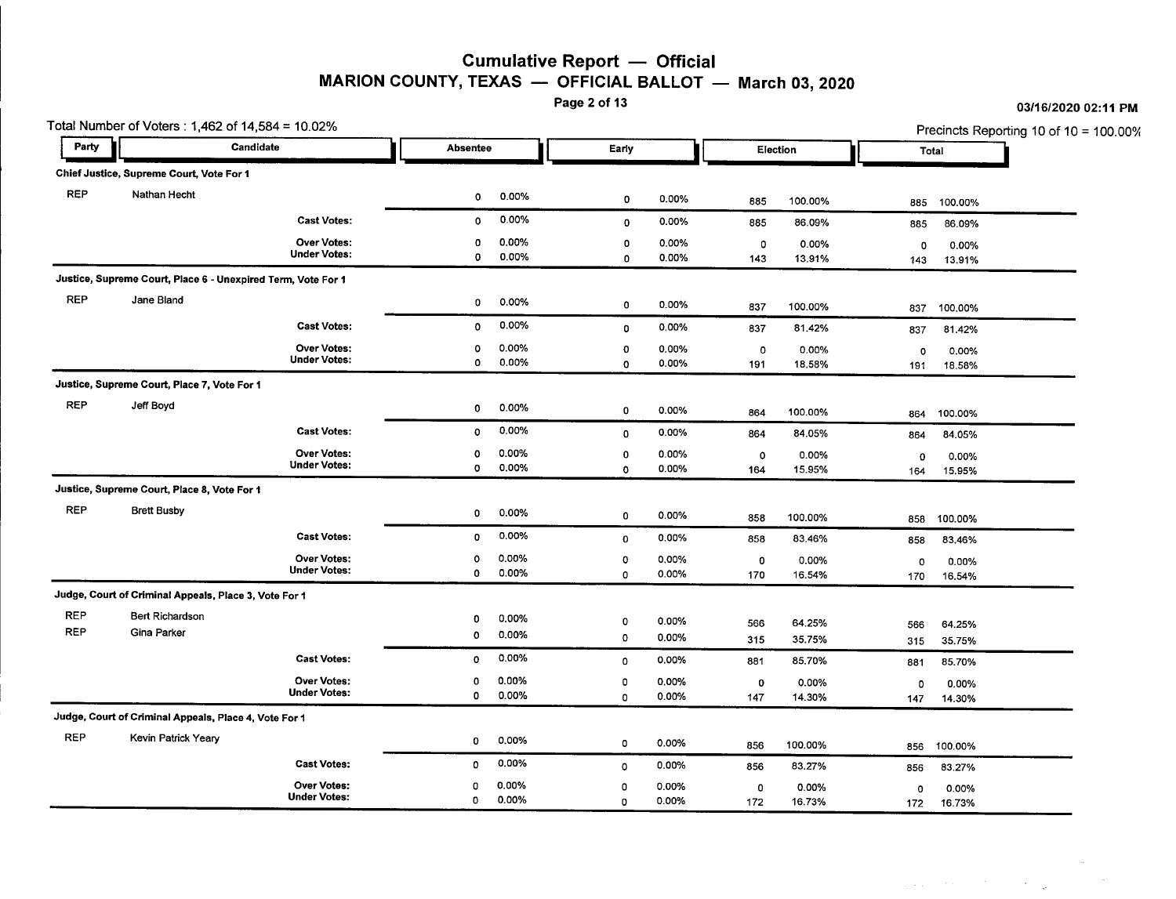### Cumulative Report  $-$  Official MARION COUNTY, TEXAS  $-$  OFFICIAL BALLOT  $-$  March 03, 2020<br>Page 2 of 13

03/16/2020 02:11 PM

 $\label{eq:2.1} \frac{1}{2} \left( \frac{1}{2} \left( \frac{1}{2} \right) \left( \frac{1}{2} \right) \left( \frac{1}{2} \right) \left( \frac{1}{2} \right) \left( \frac{1}{2} \right) \left( \frac{1}{2} \right) \left( \frac{1}{2} \right) \left( \frac{1}{2} \right) \left( \frac{1}{2} \right) \left( \frac{1}{2} \right) \left( \frac{1}{2} \right) \left( \frac{1}{2} \right) \left( \frac{1}{2} \right) \left( \frac{1}{2} \right) \left( \frac{1}{2} \right$ 

Total Number of Voters: 1,462 of 14,584 = 10.02% 2011 10:00 10:00 10:00 10:00 10:00 10:00 10:00 10:00 10:00 10:00 10:00 10:00 10:00 10:00 10:00 10:00 10:00 10:00 10:00 10:00 10:00 10:00 10:00 10:00 10:00 10:00 10:00 10:00 I Party **Party Candidate . Candidate . Absentee .** Absentee . Early . Election . Total . Total . Total . Total . Total . Total . Total . Total . Total . Total . Total . Total . Total . Total . Total . Total . Total . Total .  $\mathbf{r}$ Chief Justice, Supreme Court, Vote For 1 REP Nathan Hecht <sup>0</sup> 0.00% <sup>0</sup> 0.00% <sup>885</sup> 100.00% <sup>885</sup> 100.00% Cast Votes: 0 0.00% 0 0.00% 885 86.09% 885 86.09% Over Votes: 0 0.00% 0 0.00% 0 0.00% 0 0.00% Under Votes: <sup>0</sup> 0.00% <sup>0</sup> 0.00% <sup>143</sup> 13.91% <sup>143</sup> 13.91% Justice, Supreme Court, Place 6 - Unexpired Term, Vote For 1 REP Jane Bland <sup>0</sup> 0.00% <sup>0</sup> 0.00% <sup>837</sup> 100.00% <sup>837</sup> 100.00% Cast Votes: <sup>0</sup> 0.00% <sup>0</sup> 0.00% <sup>837</sup> 81.42% <sup>837</sup> 81.42% Over Votes: 0 0.00% 0 0.00% 0 0.00% 0 0.00% Under Votes: <sup>0</sup> 0.00% <sup>0</sup> 0.00% <sup>191</sup> 18.58% <sup>191</sup> 18.58% Justice, Supreme Court, Place 7, Vote For 1 REP Jeff Boyd <sup>0</sup> 0.00% <sup>a</sup> 0.00% <sup>864</sup> 100.00% <sup>864</sup> 100.00% Cast Votes: <sup>0</sup> 0.00% <sup>0</sup> 0.00% <sup>864</sup> 84.05% <sup>864</sup> 84.05% Over Votes: 0 0.00% 0 0.00% 0 0.00% 0 0.00% Under Votes: 0 0.00% 0 0.00% 164 15.95% 164 15.95% Justice, Supreme Court, Place 8, Vote For 1 REP Brett Busby <sup>0</sup> 0.00% <sup>0</sup> 0.00% <sup>858</sup> 100.00% <sup>858</sup> 100.00% Cast Votes: <sup>0</sup> 0.00% a 0.00% <sup>858</sup> 83.46% <sup>858</sup> 83.46% Over Votes: 0 0.00% 0 0.00% 0 0.00% 0 0.00% Under Votes: <sup>0</sup> 0.00% <sup>0</sup> 0.00% <sup>170</sup> 16.54% <sup>170</sup> 16.54% Judge, Court of Criminal Appeals, Place 3, Vote For 1 REP Bert Richardson 0 0.00% 0 0.00% 566 64.25% 566 64.25% REP Gina Parker <sup>0</sup> 0.00% <sup>0</sup> 0.00% <sup>315</sup> 35.75% <sup>315</sup> 35.75% Cast Votes: <sup>0</sup> 0.00% <sup>0</sup> 0.00% <sup>881</sup> 85.70% <sup>881</sup> 85.70% Over Votes: 0 0.00% 0 0.00% 0 0.00% 0 0.00% Under Votes: <sup>0</sup> 0.00% <sup>0</sup> 0.00% <sup>147</sup> 14.30% <sup>147</sup> 14.30% Judge, Court of Criminal Appeals, Place 4, Vote For 1 REP Kevin Patrick Yeary 0 0.00% 0 0.00% 856 100.00% 856 100.00% Cast Votes: <sup>0</sup> 0.00% <sup>0</sup> 0.00% <sup>856</sup> 83.27% <sup>856</sup> 83.27% Over Votes: 0 0.00% 0 0.00% 0 0.00% 0 0.00% Under Votes: 0 0.00% 0 0.00% 172 16.73% 172 16.73%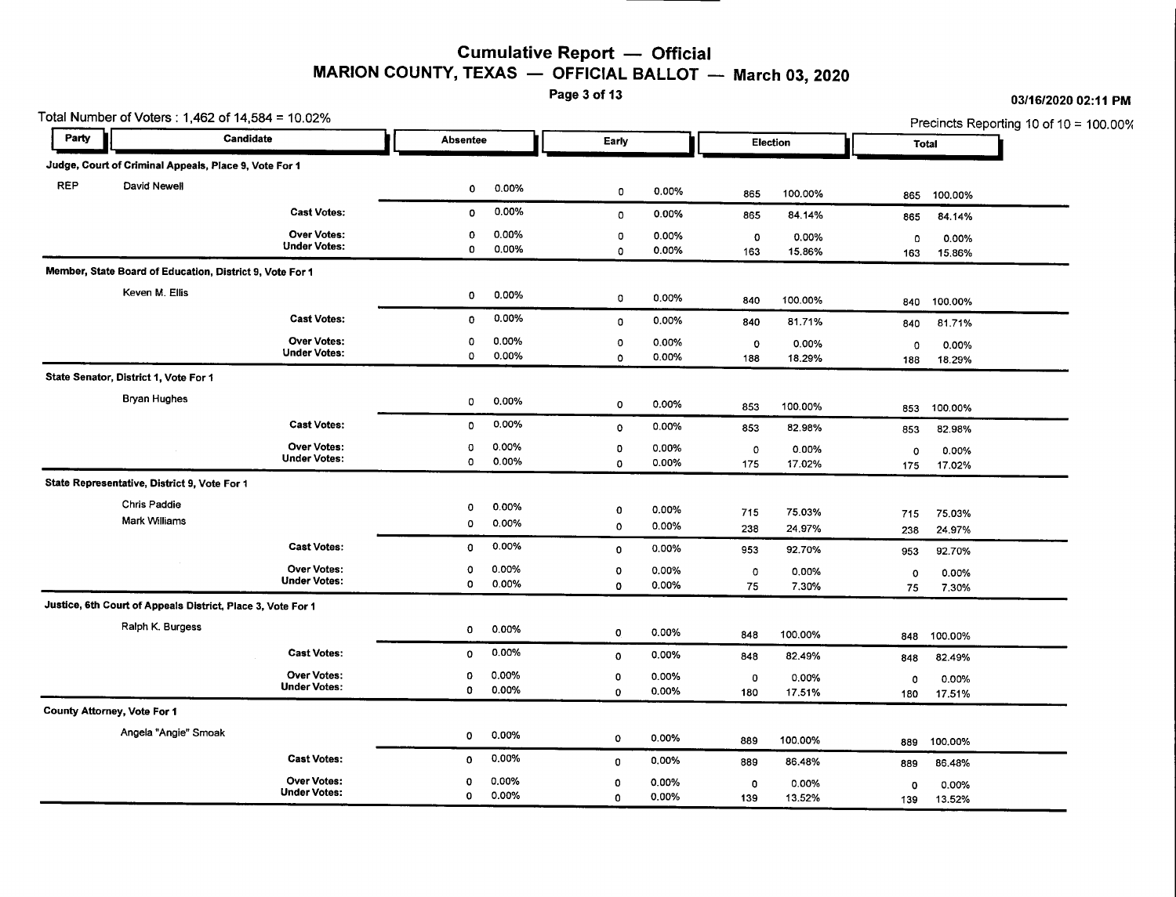### Cumulative Report - Official MARION COUNTY, TEXAS  $-$  OFFICIAL BALLOT  $-$  March 03, 2020<br>Page 3 of 13

Total Number of Voters: 1,462 of 14,584 = 10.02% <br>
Precincts Reporting 10 of 10 = 100.00% I Party **Party Candidate . Absentee . Absentee . I Election . Election** . Total . Total . Total . Total . Total . Total . Total . Total . Total . Total . Total . Total . Total . Total . Total . Total . Total . Total . Total Judge, Court of Criminal Appeals, Place 9, Vote For <sup>1</sup> **•** REP David Newell <sup>0</sup> 0.00% <sup>0</sup> 0.00% <sup>865</sup> 100.00% <sup>865</sup> 100.00% Cast Votes: <sup>0</sup> 0.00% <sup>0</sup> 0.00% <sup>865</sup> 84.14% <sup>865</sup> 84.14% Over Votes: <sup>0</sup> 0.00% <sup>0</sup> 0.00% <sup>0</sup> 0.00% <sup>0</sup> 0.00% Under Votes: <sup>0</sup> 0.00% <sup>0</sup> 0.00% <sup>163</sup> 15.86% <sup>163</sup> 15.86% Member, State Board of Education, District 9, Vote For 1 Keven M. Ellis <sup>0</sup> 0.00% <sup>0</sup> 0.00% <sup>840</sup> 100.00% <sup>840</sup> 100.00% Cast Votes: <sup>0</sup> 0.00% <sup>0</sup> 0.00% <sup>840</sup> 81.71% <sup>840</sup> 81.71% Over Votes: <sup>0</sup> 0.00% <sup>0</sup> 0.00% <sup>0</sup> 0.00% <sup>0</sup> 0.00% Under Votes: <sup>0</sup> 0.00% <sup>0</sup> 0.00% <sup>188</sup> 18.29% <sup>188</sup> 18.29% State Senator, District 1, Vote For 1 Bryan Hughes 20 0.00% 0 0.00% 0 0.00% 0 0.00% 853 100.00% 853 100.00% 853 100.00% 853 100.00% Cast Votes: <sup>0</sup> 0.00% <sup>0</sup> 0.00% <sup>853</sup> 82.98% <sup>853</sup> 82.98% Over Votes: <sup>0</sup> 0.00% <sup>0</sup> 0.00% <sup>0</sup> 0.00% <sup>0</sup> 0.00% Under Votes: <sup>0</sup> 0.00% <sup>0</sup> 0.00% <sup>175</sup> 17.02% <sup>175</sup> 17.02% State Representative, District 9, Vote For 1 Chris Paddie<br>Mart 105llionary - 115 75.03% 0 0.00% 0 0.000% 0 0.000% 715 75.03% 715 75.03% 715 75.03% Mark Williams <sup>0</sup> 0.00% <sup>0</sup> 0.00% <sup>238</sup> 24.97% <sup>238</sup> 24.97% Cast Votes: <sup>0</sup> 0.00% <sup>0</sup> 0.00% <sup>953</sup> 92.70% <sup>953</sup> 92.70% Over Votes: 0 0.00% 0 0.00% 0 0.00% 0 0.00% Under Votes: <sup>0</sup> 0.00% <sup>0</sup> 0.00% <sup>75</sup> 7.30% <sup>75</sup> 7.30% Justice, 6th Court of Appeals District, Place 3, Vote For 1 Ralph K. Burgess <sup>0</sup> 0.00% <sup>0</sup> 0.00% <sup>848</sup> 100.00% <sup>848</sup> 100.00% Cast Votes: 0 0.00% <sub>0</sub> 0.00% 848 82.49% 848 82.49% Over Votes: <sup>0</sup> 0.00% <sup>0</sup> 0.00% <sup>0</sup> 0.00% <sup>0</sup> 0.00% Under Votes: <sup>0</sup> 0.00% <sup>0</sup> 0.00% <sup>180</sup> 17.51% <sup>180</sup> 17.51% County Attorney, Vote For 1 Angela "Angie" Smoak <sup>0</sup> 0.00% <sup>0</sup> 0.00% <sup>889</sup> 100.00% <sup>889</sup> 100.00% Cast Votes: <sup>0</sup> 0.00% <sup>0</sup> 0.00% <sup>889</sup> 86.48% <sup>889</sup> 86.48% Over Votes: <sup>0</sup> 0.00% <sup>0</sup> 0.00% <sup>0</sup> 0.00% <sup>0</sup> 0.00% Under Votes: <sup>0</sup> 0.00% <sup>0</sup> 0.00% <sup>139</sup> 13.52% <sup>139</sup> 13.52%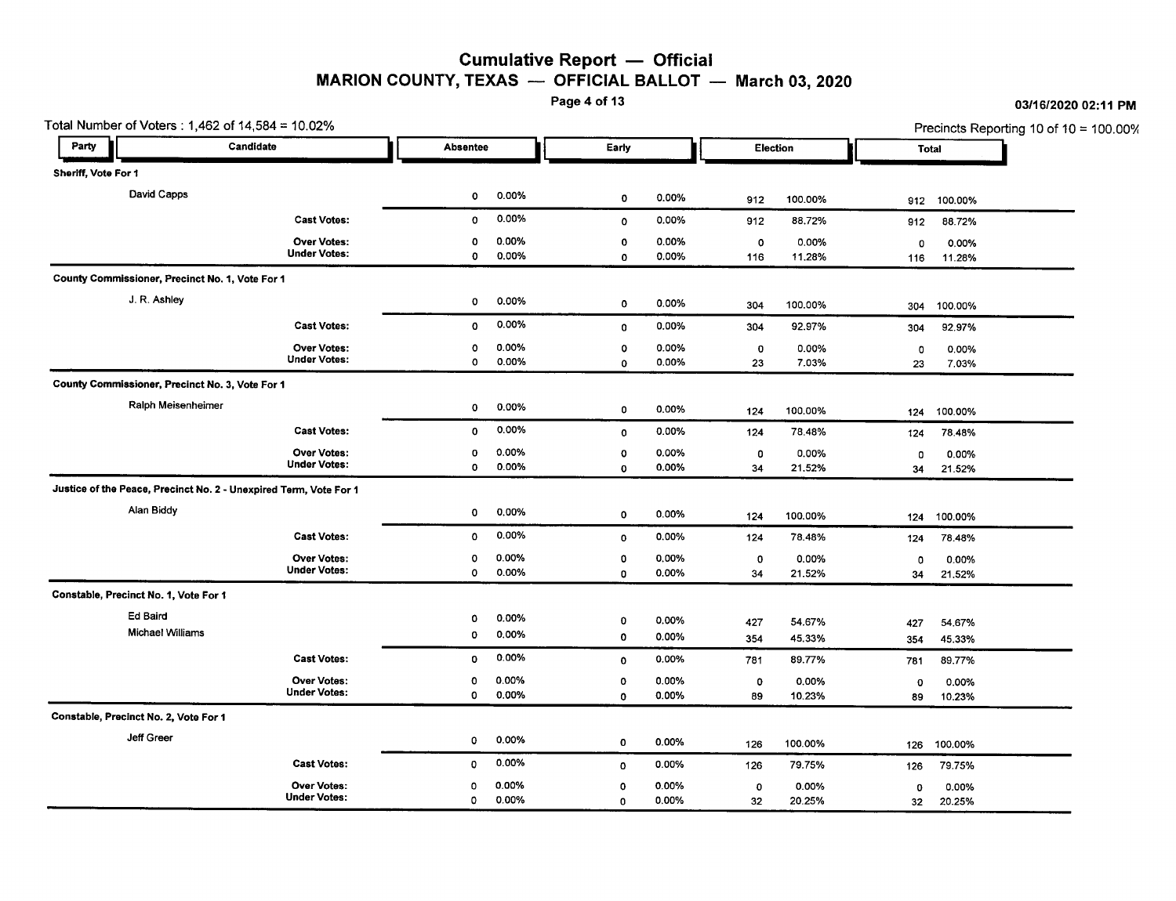### Cumulative Report - Official MARION COUNTY, TEXAS  $-$  OFFICIAL BALLOT  $-$  March 03, 2020<br>Page 4 of 13

Total Number of Voters: 1,462 of 14,584 = 10.02% Precincts Reporting 10 of 10 = 100.00% l, Party **Party Party Candidate . Absentee . Early . Election . I Election . Total . Total . Total . Total . Total .**<br>Absentee . Early . Election . Total . Total . Total . Total . Total . Total . Total . Total . Total . Total  $\mathbf I$ Sheriff, Vote For 1 David Capps <sup>0</sup> 0.00% <sup>0</sup> 0.00% <sup>912</sup> 100.00% <sup>912</sup> 100.00% Cast Votes: 0 0.00% 0 0.00% 912 88.72% 912 88.72% Over Votes: 0 0.00% 0 0.00% 0 0.00% 0 0.00% Under Votes: 0 0.00% 0 0.00% 116 11.28% 116 11.28% County Commissioner, Precinct No.1, Vote For 1 J. R. Ashley <sup>0</sup> 0.00% <sup>0</sup> 0.00% <sup>304</sup> 100.00% <sup>304</sup> 100.00% Cast Votes: 0 0.00% 0 0.00% 304 92.97% 304 92.97% Over Votes: 0 0.00% 0 0.00% 0 0.00% 0 0.00% Under Votes: 0 0.00% 0 0.00% 23 7.03% 23 7.03% County Commissioner, Precinct No.3, Vote For 1 Ralph Meisenheimer <sup>0</sup> 0.00% <sup>0</sup> 0.00% <sup>124</sup> 100.00% <sup>124</sup> 100.00% Cast Votes: a 0.00% 0 0.00% 124 78.48% 124 78.48% Over Votes: a 0.00% a 0.00% 0 0.00% a 0.00% Under Votes: a 0.00% 0 0.00% 34 21.52% 34 21.52% Justice of the Peace, Precinct No.2 - Unexpired Term, Vote For 1 Alan Biddy <sup>0</sup> 0.00% <sup>a</sup> 0.00% <sup>124</sup> 100.00% <sup>124</sup> 100.00% Cast Votes: a 0.00% a 0.00% 124 78.48% 124 78.48% Over Votes: a 0.00% a 0.00% a 0.00% a 0.00% Under Votes: a 0.00% 0 0.00% 34 21.52% 34 21.52% Constable, Precinct No.1, Vote For 1 Ed Baird <sup>a</sup> 0.00% <sup>0</sup> 0.00% <sup>427</sup> 54.67% <sup>427</sup> 54.67% Michael Williams 0 0.00% 0 0.00% 354 45.33% 354 45.33% Cast Votes: a 0.00% 0 0.00% 781 89.77% 781 89.77% Over Votes: 0 0.00% a 0.00% a 0.00% 0 0.00% Under Votes: 0 0.00% 0 0.00% 89 10.23% 89 10.23% Constable, Precinct No.2, Vote For 1 Jeff Greer <sup>a</sup> 0.00% <sup>0</sup> 0.00% <sup>126</sup> 100.00% <sup>126</sup> 100.00% Cast Votes: 0 0.00% a 0.00% 126 79.75% 126 79.75% Over Votes: a 0.00% a 0.00% 0 0.00% a 0.00% Under Votes: a 0.00% a 0.00% 32 20.25% 32 20.25%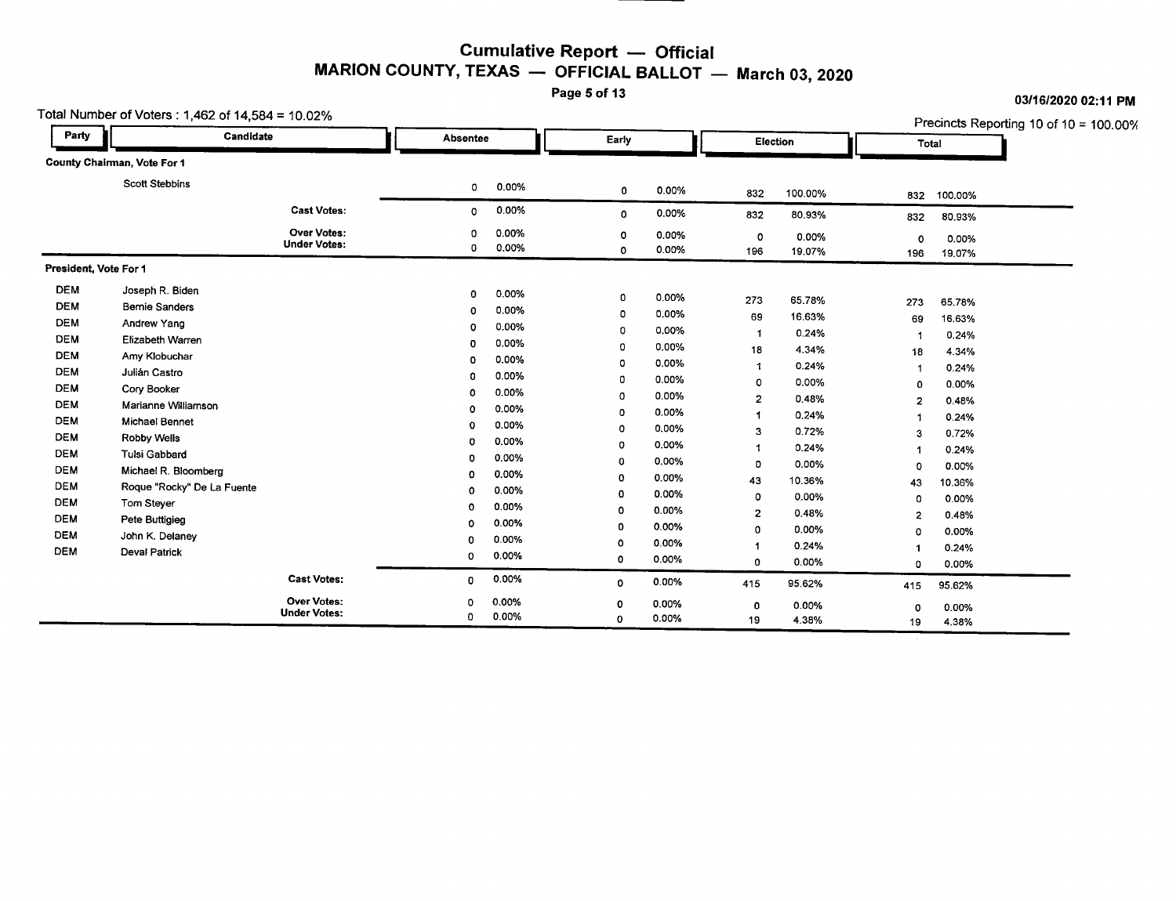## Cumulative Report — Officia<br>TEXAS — OFFICIAL BALLOT Cumulative Report — Official<br>MARION COUNTY, TEXAS — OFFICIAL BALLOT — March 03, 2020

| Total Number of Voters : 1,462 of 14,584 = 10.02% |  |  |  |  |
|---------------------------------------------------|--|--|--|--|
|---------------------------------------------------|--|--|--|--|

Page 5 of 13 **03/16/2020** 02:11 PM

|                          | Total Number of Voters: 1,462 of 14,584 = 10.02% |                                           |                 |                |                  |                |                     |                 |                            |                 |                                           |
|--------------------------|--------------------------------------------------|-------------------------------------------|-----------------|----------------|------------------|----------------|---------------------|-----------------|----------------------------|-----------------|-------------------------------------------|
| Party                    | Candidate                                        |                                           | <b>Absentee</b> |                | Early            |                |                     | Election        |                            | Total           | Precincts Reporting 10 of 10 = $100.00\%$ |
|                          | County Chairman, Vote For 1                      |                                           |                 |                |                  |                |                     |                 |                            |                 |                                           |
|                          | <b>Scott Stebbins</b>                            |                                           | $\circ$         | 0.00%          | 0                | 0.00%          | 832                 | 100.00%         | 832                        | 100.00%         |                                           |
|                          |                                                  | <b>Cast Votes:</b>                        | 0               | 0.00%          | 0                | 0.00%          | 832                 | 80.93%          | 832                        | 80.93%          |                                           |
|                          |                                                  | <b>Over Votes:</b><br><b>Under Votes:</b> | o<br>0          | 0.00%<br>0.00% | 0<br>$\mathbf 0$ | 0.00%<br>0.00% | 0<br>196            | 0.00%<br>19.07% | $\circ$<br>196             | 0.00%<br>19.07% |                                           |
| President, Vote For 1    |                                                  |                                           |                 |                |                  |                |                     |                 |                            |                 |                                           |
| <b>DEM</b><br><b>DEM</b> | Joseph R. Biden<br><b>Bernie Sanders</b>         |                                           | 0               | 0.00%          | $\mathbf{0}$     | 0.00%          | 273                 | 65.78%          | 273                        | 65,78%          |                                           |
| <b>DEM</b>               | Andrew Yang                                      |                                           | 0<br>0          | 0.00%<br>0.00% | o<br>0           | 0.00%<br>0.00% | 69<br>-1            | 16.63%<br>0.24% | 69                         | 16.63%          |                                           |
| <b>DEM</b><br><b>DEM</b> | <b>Elizabeth Warren</b><br>Amy Klobuchar         |                                           | 0               | 0.00%          | 0                | 0.00%          | 18                  | 4.34%           | $\overline{1}$<br>18       | 0.24%<br>4.34%  |                                           |
| <b>DEM</b>               | Julián Castro                                    |                                           | 0<br>0          | 0.00%<br>0.00% | o<br>0           | 0.00%<br>0.00% | 1<br>0              | 0.24%<br>0.00%  | - 1                        | 0.24%           |                                           |
| <b>DEM</b><br><b>DEM</b> | Cory Booker<br>Marianne Williamson               |                                           | ٥               | 0.00%          | $\Omega$         | 0.00%          | $\overline{2}$      | 0.48%           | $\circ$<br>$\overline{2}$  | 0.00%<br>0.48%  |                                           |
| <b>DEM</b>               | <b>Michael Bennet</b>                            |                                           | 0<br>$\Omega$   | 0.00%<br>0.00% | $\Omega$<br>0    | 0.00%<br>0.00% | -1<br>3             | 0.24%<br>0.72%  |                            | 0.24%           |                                           |
| DEM<br><b>DEM</b>        | Robby Wells<br><b>Tulsi Gabbard</b>              |                                           | o               | 0.00%<br>0.00% | $\circ$          | 0.00%          | 1                   | 0.24%           | 3<br>-1                    | 0.72%<br>0.24%  |                                           |
| <b>DEM</b>               | Michael R. Bloomberg                             |                                           | 0<br>o          | 0.00%          | $\mathbf 0$<br>0 | 0.00%<br>0.00% | 0<br>43             | 0.00%<br>10.36% | $\Omega$<br>43             | 0.00%<br>10.36% |                                           |
| <b>DEM</b><br><b>DEM</b> | Roque "Rocky" De La Fuente<br>Tom Steyer         |                                           | 0<br>$\Omega$   | 0.00%<br>0.00% | 0                | 0.00%          | 0                   | 0.00%           | 0                          | 0.00%           |                                           |
| <b>DEM</b>               | Pete Buttigieg                                   |                                           | $\circ$         | 0.00%          | 0<br>0           | 0.00%<br>0.00% | $\overline{2}$<br>0 | 0.48%<br>0.00%  | $\overline{2}$<br>$\Omega$ | 0.48%<br>0.00%  |                                           |
| <b>DEM</b><br><b>DEM</b> | John K. Delaney<br><b>Deval Patrick</b>          |                                           | $\circ$<br>0    | 0.00%<br>0.00% | ٥                | 0.00%          | -1                  | 0.24%           | -1                         | 0.24%           |                                           |
|                          |                                                  | <b>Cast Votes:</b>                        | 0               | 0.00%          | 0                | 0.00%          | 0                   | 0.00%           | $\Omega$                   | 0.00%           |                                           |
|                          |                                                  | <b>Over Votes:</b>                        | 0               | 0.00%          | $\mathbf 0$      | 0.00%          | 415                 | 95.62%          | 415                        | 95.62%          |                                           |
|                          |                                                  | <b>Under Votes:</b>                       | 0               | 0.00%          | 0<br>0           | 0.00%<br>0.00% | O<br>19             | 0.00%<br>4.38%  | 0<br>19                    | 0.00%<br>4.38%  |                                           |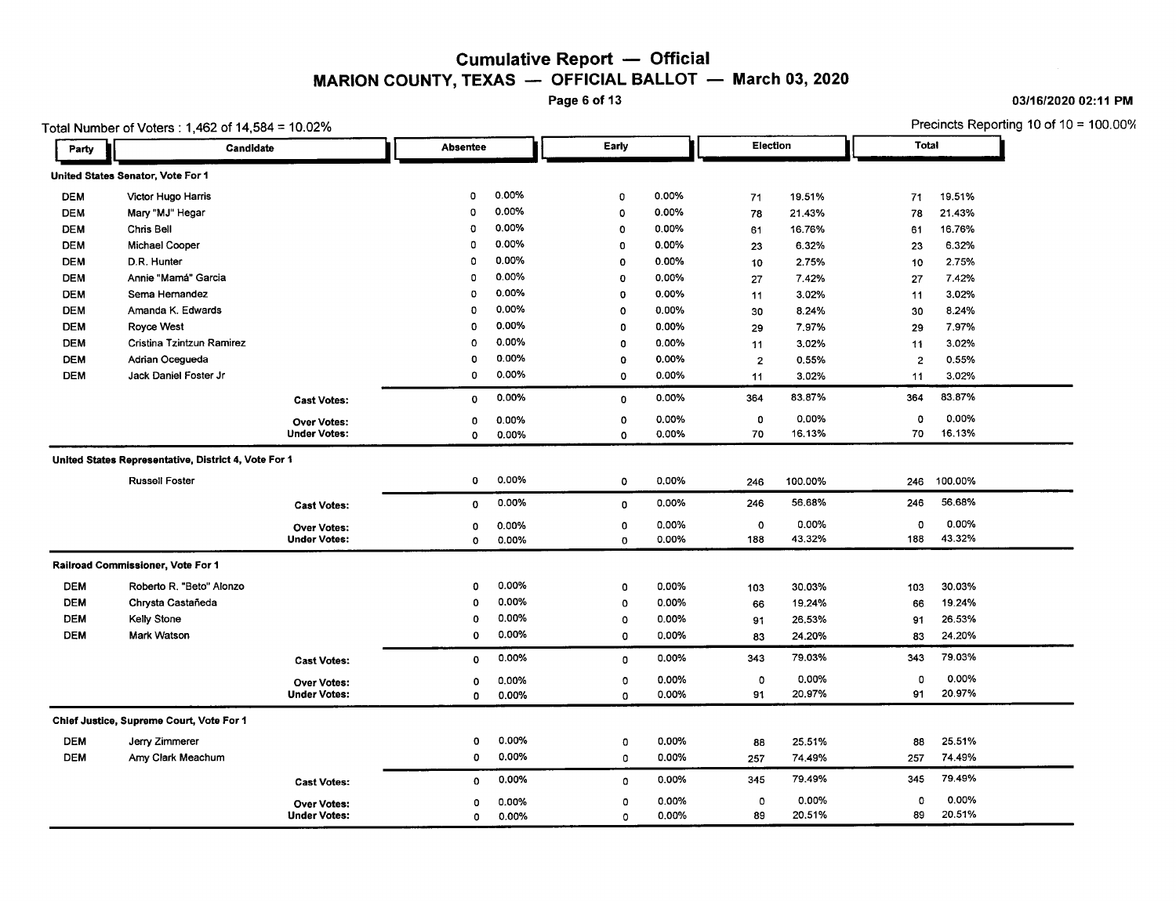#### Cumulative Report — Officia MARION COUNTY, TEXAS — OFFICIAL BALLOT — March 03, 2020

Page 6 of 13

|            | Total Number of Voters: 1,462 of 14,584 = 10.02%     |                     |                 |       | Election     |       | Precincts Reporting 10 of 10 = 100.00%<br>Total |         |                |         |
|------------|------------------------------------------------------|---------------------|-----------------|-------|--------------|-------|-------------------------------------------------|---------|----------------|---------|
| Party      | Candidate                                            |                     | <b>Absentee</b> |       | Early        |       |                                                 |         |                |         |
|            | United States Senator, Vote For 1                    |                     |                 |       |              |       |                                                 |         |                |         |
| <b>DEM</b> | Victor Hugo Harris                                   |                     | 0               | 0.00% | $\mathbf 0$  | 0.00% | 71                                              | 19.51%  | 71             | 19.51%  |
| <b>DEM</b> | Mary "MJ" Hegar                                      |                     | 0               | 0.00% | $\circ$      | 0.00% | 78                                              | 21.43%  | 78             | 21.43%  |
| <b>DEM</b> | Chris Bell                                           |                     | $\mathbf 0$     | 0.00% | $\circ$      | 0.00% | 61                                              | 16.76%  | 61             | 16.76%  |
| <b>DEM</b> | <b>Michael Cooper</b>                                |                     | 0               | 0.00% | $\mathbf 0$  | 0.00% | 23                                              | 6.32%   | 23             | 6.32%   |
| <b>DEM</b> | D.R. Hunter                                          |                     | $\circ$         | 0.00% | $\mathbf 0$  | 0.00% | 10                                              | 2.75%   | 10             | 2.75%   |
| <b>DEM</b> | Annie "Mamá" Garcia                                  |                     | $\mathbf 0$     | 0.00% | $\mathbf 0$  | 0.00% | 27                                              | 7.42%   | 27             | 7.42%   |
| <b>DEM</b> | Sema Hemandez                                        |                     | o               | 0.00% | $\mathbf{o}$ | 0.00% | 11                                              | 3.02%   | 11             | 3.02%   |
| <b>DEM</b> | Amanda K. Edwards                                    |                     | 0               | 0.00% | $\circ$      | 0.00% | 30                                              | 8.24%   | 30             | 8.24%   |
| <b>DEM</b> | <b>Royce West</b>                                    |                     | $\mathbf 0$     | 0.00% | 0            | 0.00% | 29                                              | 7.97%   | 29             | 7.97%   |
| <b>DEM</b> | Cristina Tzintzun Ramirez                            |                     | $\circ$         | 0.00% | 0            | 0.00% | 11                                              | 3.02%   | 11             | 3.02%   |
| <b>DEM</b> | Adrian Ocegueda                                      |                     | $\mathbf 0$     | 0.00% | o            | 0.00% | $\overline{2}$                                  | 0.55%   | $\overline{2}$ | 0.55%   |
| <b>DEM</b> | Jack Daniel Foster Jr                                |                     | 0               | 0.00% | 0            | 0.00% | 11                                              | 3.02%   | 11             | 3.02%   |
|            |                                                      | <b>Cast Votes:</b>  | $\mathbf 0$     | 0.00% | $\mathbf{0}$ | 0.00% | 364                                             | 83.87%  | 364            | 83.87%  |
|            |                                                      | <b>Over Votes:</b>  | $\mathbf{0}$    | 0.00% | 0            | 0.00% | 0                                               | 0.00%   | $\Omega$       | 0.00%   |
|            |                                                      | <b>Under Votes:</b> | $\mathbf{o}$    | 0.00% | 0            | 0.00% | 70                                              | 16.13%  | 70             | 16.13%  |
|            | United States Representative, District 4, Vote For 1 |                     |                 |       |              |       |                                                 |         |                |         |
|            | <b>Russell Foster</b>                                |                     | $\mathbf 0$     | 0.00% | $\circ$      | 0.00% | 246                                             | 100.00% | 246            | 100.00% |
|            |                                                      | <b>Cast Votes:</b>  | $\circ$         | 0.00% | 0            | 0.00% | 246                                             | 56.68%  | 246            | 56,68%  |
|            |                                                      | <b>Over Votes:</b>  | 0               | 0.00% | $\mathbf 0$  | 0.00% | $\circ$                                         | 0.00%   | 0              | 0.00%   |
|            |                                                      | <b>Under Votes:</b> | $\circ$         | 0.00% | 0            | 0.00% | 188                                             | 43.32%  | 188            | 43.32%  |
|            | Railroad Commissioner, Vote For 1                    |                     |                 |       |              |       |                                                 |         |                |         |
| <b>DEM</b> | Roberto R. "Beto" Alonzo                             |                     | 0               | 0.00% | 0            | 0.00% | 103                                             | 30.03%  | 103            | 30.03%  |
| <b>DEM</b> | Chrysta Castañeda                                    |                     | $\mathbf 0$     | 0.00% | 0            | 0.00% | 66                                              | 19.24%  | 66             | 19.24%  |
| <b>DEM</b> | Kelly Stone                                          |                     | $\circ$         | 0.00% | o            | 0.00% | 91                                              | 26.53%  | 91             | 26.53%  |
| <b>DEM</b> | Mark Watson                                          |                     | 0               | 0.00% | 0            | 0.00% | 83                                              | 24.20%  | 83             | 24.20%  |
|            |                                                      | <b>Cast Votes:</b>  | $\mathbf 0$     | 0.00% | 0            | 0.00% | 343                                             | 79.03%  | 343            | 79.03%  |
|            |                                                      | <b>Over Votes:</b>  | 0               | 0.00% | 0            | 0.00% | $\circ$                                         | 0.00%   | 0              | 0.00%   |
|            |                                                      | <b>Under Votes:</b> | 0               | 0.00% | 0            | 0.00% | 91                                              | 20.97%  | 91             | 20.97%  |
|            | Chief Justice, Supreme Court, Vote For 1             |                     |                 |       |              |       |                                                 |         |                |         |
| <b>DEM</b> | Jerry Zimmerer                                       |                     | 0               | 0.00% | $\mathbf 0$  | 0.00% | 88                                              | 25.51%  | 88             | 25.51%  |
| <b>DEM</b> | Amy Clark Meachum                                    |                     | 0               | 0.00% | $\Omega$     | 0.00% | 257                                             | 74,49%  | 257            | 74.49%  |
|            |                                                      | <b>Cast Votes:</b>  | 0               | 0.00% | 0            | 0.00% | 345                                             | 79.49%  | 345            | 79.49%  |
|            |                                                      | <b>Over Votes:</b>  | $\Omega$        | 0.00% | $\mathbf{o}$ | 0.00% | $\circ$                                         | 0.00%   | 0              | 0.00%   |
|            |                                                      | <b>Under Votes:</b> | 0               | 0.00% | $\circ$      | 0.00% | 89                                              | 20,51%  | 89             | 20.51%  |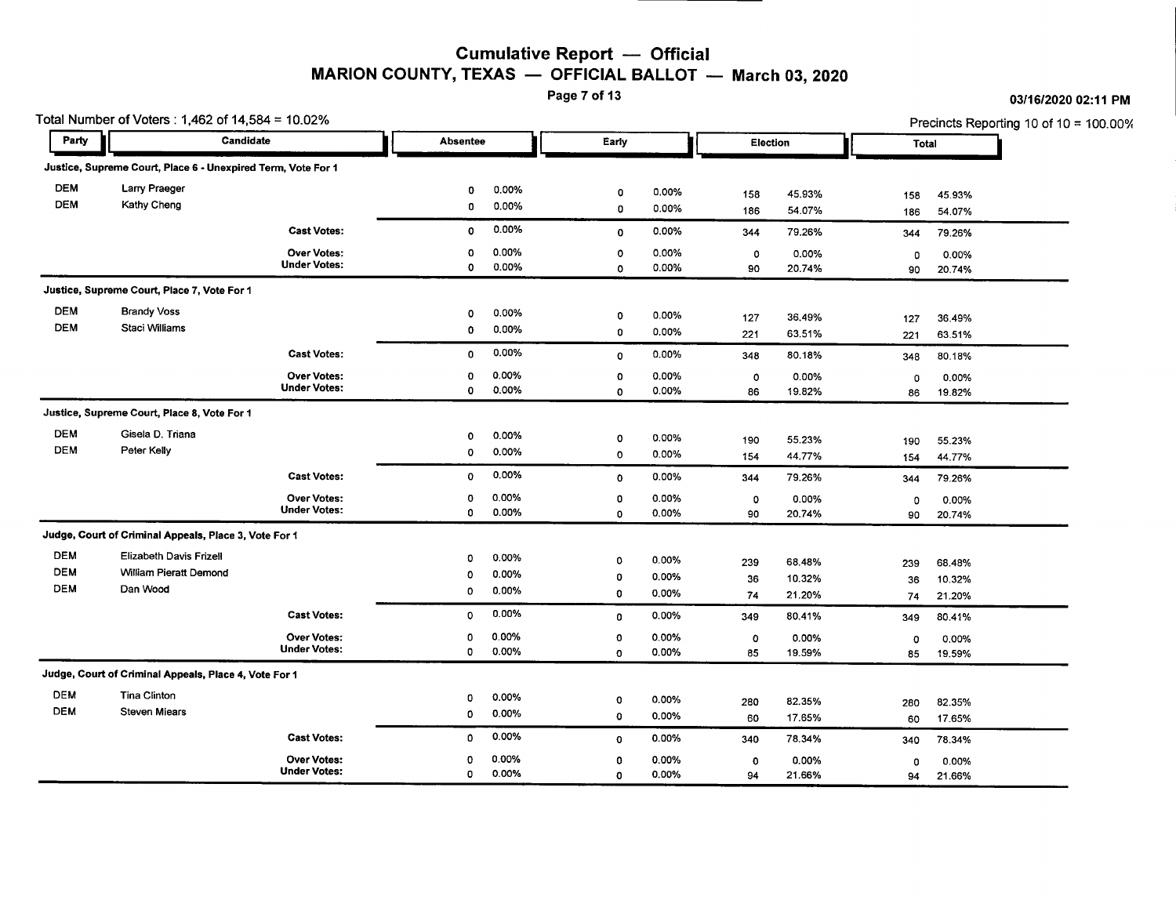#### Cumulative Report - Official MARION COUNTY, TEXAS  $-$  OFFICIAL BALLOT  $-$  March 03, 2020

Page 7 of 13

| 03/16/2020 02:11 PM |
|---------------------|
|---------------------|

|            | Total Number of Voters : 1,462 of 14,584 = 10.02%            |                     |              |          |             |       |             |          | Precincts Reporting 10 of 10 = 100.00% |        |  |  |
|------------|--------------------------------------------------------------|---------------------|--------------|----------|-------------|-------|-------------|----------|----------------------------------------|--------|--|--|
| Party      | Candidate                                                    |                     |              | Absentee |             | Early |             | Election | Total                                  |        |  |  |
|            | Justice, Supreme Court, Place 6 - Unexpired Term, Vote For 1 |                     |              |          |             |       |             |          |                                        |        |  |  |
| <b>DEM</b> | Larry Praeger                                                |                     | 0            | 0.00%    | o           | 0.00% | 158         | 45.93%   | 158                                    | 45.93% |  |  |
| <b>DEM</b> | Kathy Cheng                                                  |                     | 0            | 0.00%    | 0           | 0.00% | 186         | 54.07%   | 186                                    | 54.07% |  |  |
|            |                                                              | <b>Cast Votes:</b>  | 0            | 0.00%    | $\mathbf 0$ | 0.00% | 344         | 79.26%   | 344                                    | 79.26% |  |  |
|            |                                                              | Over Votes:         | 0            | 0.00%    | 0           | 0.00% | $\circ$     | 0.00%    | 0                                      | 0.00%  |  |  |
|            |                                                              | <b>Under Votes:</b> | 0            | 0.00%    | $\circ$     | 0.00% | 90          | 20.74%   | 90                                     | 20.74% |  |  |
|            | Justice, Supreme Court, Place 7, Vote For 1                  |                     |              |          |             |       |             |          |                                        |        |  |  |
| DEM        | <b>Brandy Voss</b>                                           |                     | 0            | 0.00%    | 0           | 0.00% | 127         | 36.49%   | 127                                    | 36.49% |  |  |
| <b>DEM</b> | Staci Williams                                               |                     | 0            | 0.00%    | 0           | 0.00% | 221         | 63.51%   | 221                                    | 63.51% |  |  |
|            |                                                              | <b>Cast Votes:</b>  | $\mathbf{0}$ | 0.00%    | $\circ$     | 0.00% | 348         | 80.18%   | 348                                    | 80.18% |  |  |
|            |                                                              | <b>Over Votes:</b>  | 0            | 0.00%    | $\Omega$    | 0.00% | $\circ$     | 0.00%    | $\mathbf 0$                            | 0.00%  |  |  |
|            |                                                              | <b>Under Votes:</b> | O            | 0.00%    | 0           | 0.00% | 86          | 19.82%   | 86                                     | 19.82% |  |  |
|            | Justice, Supreme Court, Place 8, Vote For 1                  |                     |              |          |             |       |             |          |                                        |        |  |  |
| <b>DEM</b> | Gisela D. Triana                                             |                     | $\mathbf{0}$ | 0.00%    | 0           | 0.00% | 190         | 55.23%   | 190                                    | 55.23% |  |  |
| DEM        | Peter Kelly                                                  |                     | $\circ$      | 0.00%    | 0           | 0.00% | 154         | 44.77%   | 154                                    | 44.77% |  |  |
|            |                                                              | <b>Cast Votes:</b>  | 0            | 0.00%    | 0           | 0.00% | 344         | 79.26%   | 344                                    | 79.26% |  |  |
|            |                                                              | <b>Over Votes:</b>  | 0            | 0.00%    | 0           | 0.00% | 0           | 0.00%    | 0                                      | 0.00%  |  |  |
|            |                                                              | <b>Under Votes:</b> | 0            | 0.00%    | 0           | 0.00% | 90          | 20.74%   | 90                                     | 20.74% |  |  |
|            | Judge, Court of Criminal Appeals, Place 3, Vote For 1        |                     |              |          |             |       |             |          |                                        |        |  |  |
| <b>DEM</b> | Elizabeth Davis Frizell                                      |                     | 0            | 0.00%    | 0           | 0.00% | 239         | 68.48%   | 239                                    | 68.48% |  |  |
| <b>DEM</b> | <b>William Pieratt Demond</b>                                |                     | $\circ$      | 0.00%    | 0           | 0.00% | 36          | 10.32%   | 36                                     | 10.32% |  |  |
| <b>DEM</b> | Dan Wood                                                     |                     | $\mathbf 0$  | 0.00%    | $\mathbf 0$ | 0.00% | 74          | 21.20%   | 74                                     | 21.20% |  |  |
|            |                                                              | <b>Cast Votes:</b>  | $\circ$      | 0.00%    | 0           | 0.00% | 349         | 80.41%   | 349                                    | 80.41% |  |  |
|            |                                                              | <b>Over Votes:</b>  | 0            | 0.00%    | 0           | 0.00% | $\mathbf 0$ | 0.00%    | $\circ$                                | 0.00%  |  |  |
|            |                                                              | <b>Under Votes:</b> | 0            | 0.00%    | 0           | 0.00% | 85          | 19.59%   | 85                                     | 19.59% |  |  |
|            | Judge, Court of Criminal Appeals, Place 4, Vote For 1        |                     |              |          |             |       |             |          |                                        |        |  |  |
| <b>DEM</b> | <b>Tina Clinton</b>                                          |                     | 0            | 0.00%    | 0           | 0.00% | 280         | 82.35%   | 280                                    | 82.35% |  |  |
| <b>DEM</b> | <b>Steven Miears</b>                                         |                     | 0            | 0.00%    | $\mathbf 0$ | 0.00% | 60          | 17.65%   | 60                                     | 17.65% |  |  |
|            |                                                              | <b>Cast Votes:</b>  | $\mathbf{0}$ | 0.00%    | $\mathbf 0$ | 0.00% | 340         | 78.34%   | 340                                    | 78.34% |  |  |
|            |                                                              | <b>Over Votes:</b>  | 0            | 0.00%    | $\mathbf 0$ | 0.00% | $\mathbf 0$ | 0.00%    | 0                                      | 0.00%  |  |  |
|            |                                                              | <b>Under Votes:</b> | $\circ$      | 0.00%    | 0           | 0.00% | 94          | 21.66%   | 94                                     | 21.66% |  |  |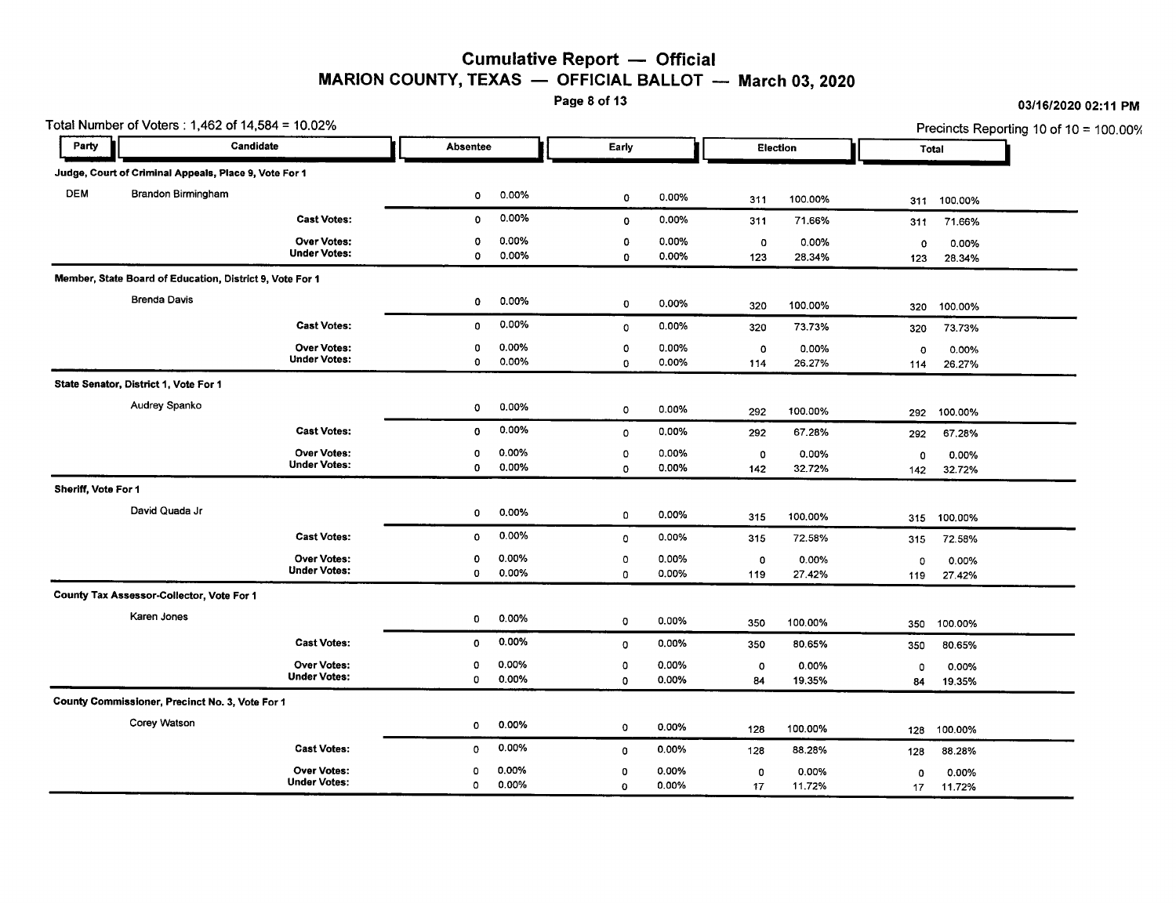### **Cumulative Report - Official** MARION COUNTY, TEXAS  $-$  OFFICIAL BALLOT  $-$  March 03, 2020<br>Page 8 of 13

|                     | Total Number of Voters : 1,462 of 14,584 = 10.02%        |                                           |              |                   |                        |                |                    | Precincts Reporting 10 of 10 = 100.00% |                     |                 |
|---------------------|----------------------------------------------------------|-------------------------------------------|--------------|-------------------|------------------------|----------------|--------------------|----------------------------------------|---------------------|-----------------|
| Party               | Candidate                                                |                                           | Absentee     |                   | Early                  |                | Election           |                                        | Total               |                 |
|                     | Judge, Court of Criminal Appeals, Place 9, Vote For 1    |                                           |              |                   |                        |                |                    |                                        |                     |                 |
| <b>DEM</b>          | <b>Brandon Birmingham</b>                                |                                           | ٥            | 0.00%             | 0                      | 0.00%          | 311                | 100.00%                                | 311                 | 100.00%         |
|                     |                                                          | <b>Cast Votes:</b>                        | 0            | 0.00%             | $\circ$                | 0.00%          | 311                | 71.66%                                 | 311                 | 71.66%          |
|                     |                                                          | <b>Over Votes:</b><br><b>Under Votes:</b> | 0<br>0       | 0.00%<br>0.00%    | $\mathbf 0$<br>0       | 0.00%<br>0.00% | $\mathbf 0$<br>123 | 0.00%<br>28,34%                        | $\mathbf{o}$<br>123 | 0.00%<br>28.34% |
|                     | Member, State Board of Education, District 9, Vote For 1 |                                           |              |                   |                        |                |                    |                                        |                     |                 |
|                     | <b>Brenda Davis</b>                                      |                                           | 0            | 0.00%             | $\mathbf 0$            | 0.00%          | 320                | 100.00%                                | 320                 | 100.00%         |
|                     |                                                          | <b>Cast Votes:</b>                        | 0            | 0.00%             | $\mathbf 0$            | 0.00%          | 320                | 73.73%                                 | 320                 | 73.73%          |
|                     |                                                          | <b>Over Votes:</b><br><b>Under Votes:</b> | 0<br>0       | 0.00%<br>0.00%    | $\circ$<br>$\mathbf 0$ | 0.00%<br>0.00% | $\circ$<br>114     | 0.00%<br>26.27%                        | $\circ$<br>114      | 0.00%<br>26.27% |
|                     | State Senator, District 1, Vote For 1                    |                                           |              |                   |                        |                |                    |                                        |                     |                 |
|                     | Audrey Spanko                                            |                                           | ٥            | 0.00%             | $\mathbf 0$            | 0.00%          | 292                | 100.00%                                | 292                 | 100.00%         |
|                     |                                                          | <b>Cast Votes:</b>                        | 0            | 0.00%             | 0                      | 0.00%          | 292                | 67.28%                                 | 292                 | 67.28%          |
|                     |                                                          | <b>Over Votes:</b><br><b>Under Votes:</b> | 0<br>0       | 0.00%<br>0.00%    | o<br>$\mathbf 0$       | 0.00%<br>0.00% | $\circ$<br>142     | 0.00%<br>32.72%                        | 0<br>142            | 0.00%<br>32.72% |
| Sheriff, Vote For 1 |                                                          |                                           |              |                   |                        |                |                    |                                        |                     |                 |
|                     | David Quada Jr                                           |                                           | 0            | 0.00%             | 0                      | 0.00%          | 315                | 100.00%                                | 315                 | 100.00%         |
|                     |                                                          | <b>Cast Votes:</b>                        | 0            | 0.00%             | $\circ$                | 0.00%          | 315                | 72.58%                                 | 315                 | 72.58%          |
|                     |                                                          | <b>Over Votes:</b><br><b>Under Votes:</b> | 0<br>0       | 0.00%<br>$0.00\%$ | 0<br>0                 | 0.00%<br>0.00% | $\circ$<br>119     | 0.00%<br>27.42%                        | 0<br>119            | 0.00%<br>27.42% |
|                     | County Tax Assessor-Collector, Vote For 1                |                                           |              |                   |                        |                |                    |                                        |                     |                 |
|                     | Karen Jones                                              |                                           | 0            | 0.00%             | $\circ$                | 0.00%          | 350                | 100.00%                                | 350                 | 100.00%         |
|                     |                                                          | <b>Cast Votes:</b>                        | $\mathbf 0$  | 0.00%             | $\circ$                | 0.00%          | 350                | 80.65%                                 | 350                 | 80.65%          |
|                     |                                                          | <b>Over Votes:</b><br><b>Under Votes:</b> | 0<br>0       | 0.00%<br>0.00%    | 0<br>0                 | 0.00%<br>0.00% | $\circ$<br>84      | 0.00%<br>19.35%                        | 0<br>84             | 0.00%<br>19.35% |
|                     | County Commissioner, Precinct No. 3, Vote For 1          |                                           |              |                   |                        |                |                    |                                        |                     |                 |
|                     | Corey Watson                                             |                                           | $\mathbf{o}$ | 0.00%             | 0                      | 0.00%          | 128                | 100.00%                                | 128                 | 100.00%         |
|                     |                                                          | <b>Cast Votes:</b>                        | $\mathbf 0$  | 0.00%             | 0                      | 0.00%          | 128                | 88.28%                                 | 128                 | 88.28%          |
|                     |                                                          | <b>Over Votes:</b><br><b>Under Votes:</b> | 0<br>$\circ$ | 0.00%<br>0.00%    | 0<br>0                 | 0.00%<br>0.00% | $\circ$<br>17      | 0.00%<br>11.72%                        | 0<br>17             | 0.00%<br>11.72% |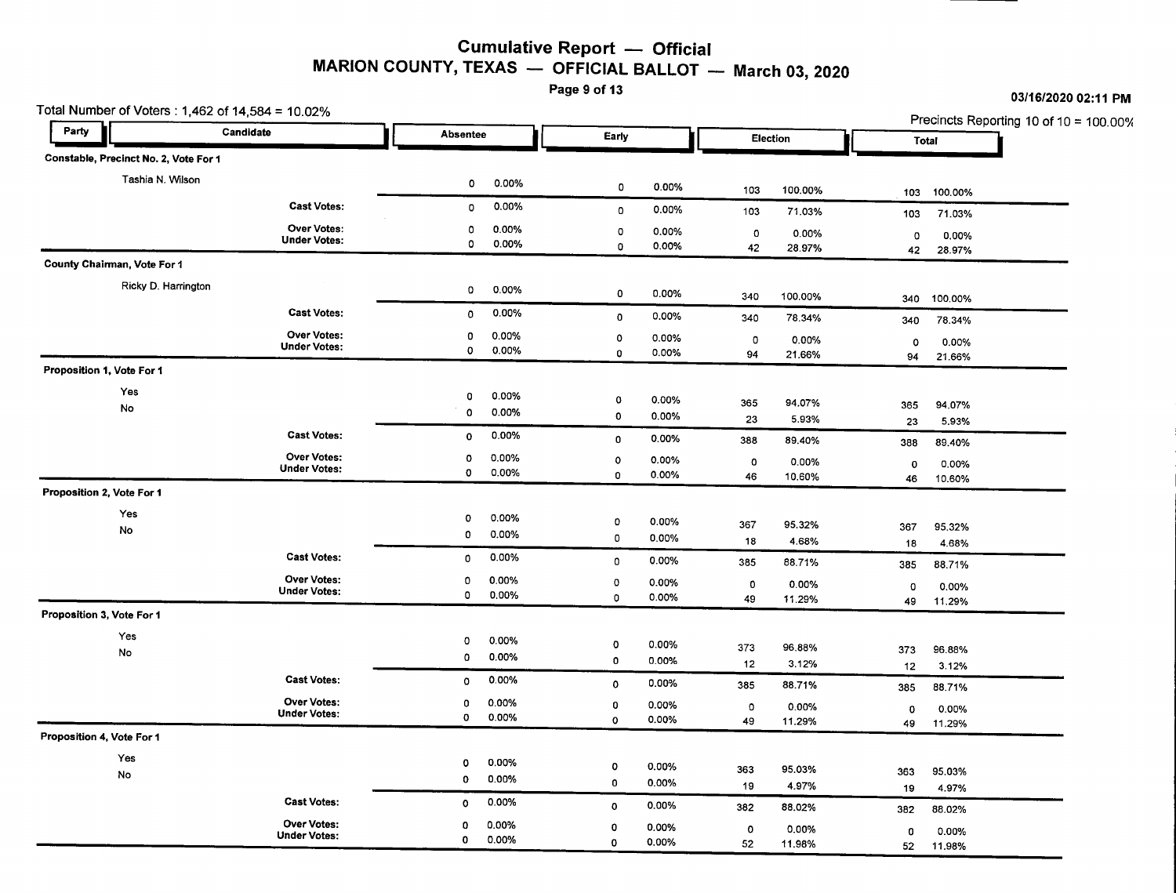#### **Cumulative Report - Official MARION COUNTY, TEXAS - OFFICIAL BALLOT March** 03, **2020**

Page 9 of 13

| Party | Total Number of Voters : 1,462 of 14,584 = 10.02% | Candidate                                 |              |                 |                  |                |               |                 |           |                 | Precincts Reporting 10 of 10 = 100.00% |
|-------|---------------------------------------------------|-------------------------------------------|--------------|-----------------|------------------|----------------|---------------|-----------------|-----------|-----------------|----------------------------------------|
|       |                                                   |                                           |              | <b>Absentee</b> |                  | Early          |               | Election        |           | Total           |                                        |
|       | Constable, Precinct No. 2, Vote For 1             |                                           |              |                 |                  |                |               |                 |           |                 |                                        |
|       | Tashia N. Wilson                                  |                                           | 0            | 0.00%           | 0                | 0.00%          |               |                 |           |                 |                                        |
|       |                                                   | <b>Cast Votes:</b>                        | 0            | 0.00%           |                  | 0.00%          | 103           | 100.00%         | 103       | 100.00%         |                                        |
|       |                                                   | <b>Over Votes:</b>                        |              |                 | $\mathbf 0$      |                | 103           | 71.03%          | 103       | 71.03%          |                                        |
|       |                                                   | <b>Under Votes:</b>                       | 0<br>0       | 0.00%<br>0.00%  | $\mathbf 0$<br>0 | 0.00%<br>0.00% | $\circ$<br>42 | 0.00%           | 0         | 0.00%           |                                        |
|       | County Chairman, Vote For 1                       |                                           |              |                 |                  |                |               | 28.97%          | 42        | 28.97%          |                                        |
|       | Ricky D. Harrington                               |                                           |              |                 |                  |                |               |                 |           |                 |                                        |
|       |                                                   |                                           | $\mathbf 0$  | 0.00%           | 0                | 0.00%          | 340           | 100.00%         | 340       | 100.00%         |                                        |
|       |                                                   | <b>Cast Votes:</b>                        | $\circ$      | 0.00%           | 0                | 0.00%          | 340           | 78.34%          | 340       | 78.34%          |                                        |
|       |                                                   | Over Votes:<br><b>Under Votes:</b>        | 0            | 0.00%           | 0                | 0.00%          | $\circ$       | 0.00%           | $\circ$   | 0.00%           |                                        |
|       |                                                   |                                           | $\circ$      | 0.00%           | $\mathbf 0$      | 0.00%          | 94            | 21.66%          | 94        | 21.66%          |                                        |
|       | Proposition 1, Vote For 1                         |                                           |              |                 |                  |                |               |                 |           |                 |                                        |
|       | Yes                                               |                                           | 0            | 0.00%           | 0                | 0.00%          | 365           | 94.07%          | 365       | 94.07%          |                                        |
|       | No                                                |                                           | 0            | 0.00%           | 0                | 0.00%          | 23            | 5.93%           | 23        | 5.93%           |                                        |
|       |                                                   | <b>Cast Votes:</b>                        | $\mathbf 0$  | 0.00%           | $\mathbf 0$      | 0.00%          | 388           | 89.40%          | 388       | 89.40%          |                                        |
|       |                                                   | <b>Over Votes:</b>                        | $\circ$      | 0.00%           | $\circ$          | 0.00%          | $\circ$       | 0.00%           | 0         | 0.00%           |                                        |
|       |                                                   | <b>Under Votes:</b>                       | $\circ$      | 0.00%           | $\Omega$         | 0.00%          | 46            | 10.60%          | 46        | 10.60%          |                                        |
|       | Proposition 2, Vote For 1                         |                                           |              |                 |                  |                |               |                 |           |                 |                                        |
|       | Yes                                               |                                           | o            | 0.00%           | $\mathbf 0$      | 0.00%          | 367           |                 |           |                 |                                        |
|       | No                                                |                                           | 0            | 0.00%           | 0                | 0.00%          | 18            | 95.32%<br>4.68% | 367<br>18 | 95.32%<br>4.68% |                                        |
|       |                                                   | <b>Cast Votes:</b>                        | 0            | 0.00%           | 0                | 0.00%          | 385           | 88.71%          |           |                 |                                        |
|       |                                                   | <b>Over Votes:</b>                        | 0            | 0.00%           | $\mathbf 0$      | 0.00%          |               |                 | 385       | 88.71%          |                                        |
|       |                                                   | <b>Under Votes:</b>                       | 0            | 0.00%           | 0                | 0.00%          | 0<br>49       | 0.00%<br>11.29% | 0<br>49   | 0.00%<br>11.29% |                                        |
|       | Proposition 3, Vote For 1                         |                                           |              |                 |                  |                |               |                 |           |                 |                                        |
|       | Yes                                               |                                           | $\circ$      | 0.00%           |                  |                |               |                 |           |                 |                                        |
|       | No                                                |                                           | 0            | 0.00%           | o<br>0           | 0.00%<br>0.00% | 373           | 96.88%          | 373       | 96.88%          |                                        |
|       |                                                   | <b>Cast Votes:</b>                        | $\circ$      | 0.00%           |                  |                | 12            | 3.12%           | 12        | 3.12%           |                                        |
|       |                                                   |                                           |              |                 | $\mathbf 0$      | 0.00%          | 385           | 88.71%          | 385       | 88.71%          |                                        |
|       |                                                   | <b>Over Votes:</b><br><b>Under Votes:</b> | 0<br>$\circ$ | 0.00%<br>0.00%  | 0<br>$\circ$     | 0.00%<br>0.00% | 0             | 0.00%           | 0         | 0.00%           |                                        |
|       | Proposition 4, Vote For 1                         |                                           |              |                 |                  |                | 49            | 11.29%          | 49        | 11.29%          |                                        |
|       | Yes                                               |                                           |              |                 |                  |                |               |                 |           |                 |                                        |
|       | No                                                |                                           | $\mathbf 0$  | 0.00%           | $\circ$          | 0.00%          | 363           | 95.03%          | 363       | 95.03%          |                                        |
|       |                                                   |                                           | 0            | 0.00%           | 0                | 0.00%          | 19            | 4.97%           | 19        | 4.97%           |                                        |
|       |                                                   | <b>Cast Votes:</b>                        | 0            | 0.00%           | $\mathbf 0$      | 0.00%          | 382           | 88.02%          | 382       | 88.02%          |                                        |
|       |                                                   | <b>Over Votes:</b><br><b>Under Votes:</b> | 0            | 0.00%           | O                | 0.00%          | $\circ$       | 0.00%           | 0         | 0.00%           |                                        |
|       |                                                   |                                           | 0            | 0.00%           | 0                | 0.00%          | 52            | 11.98%          | 52        | 11.98%          |                                        |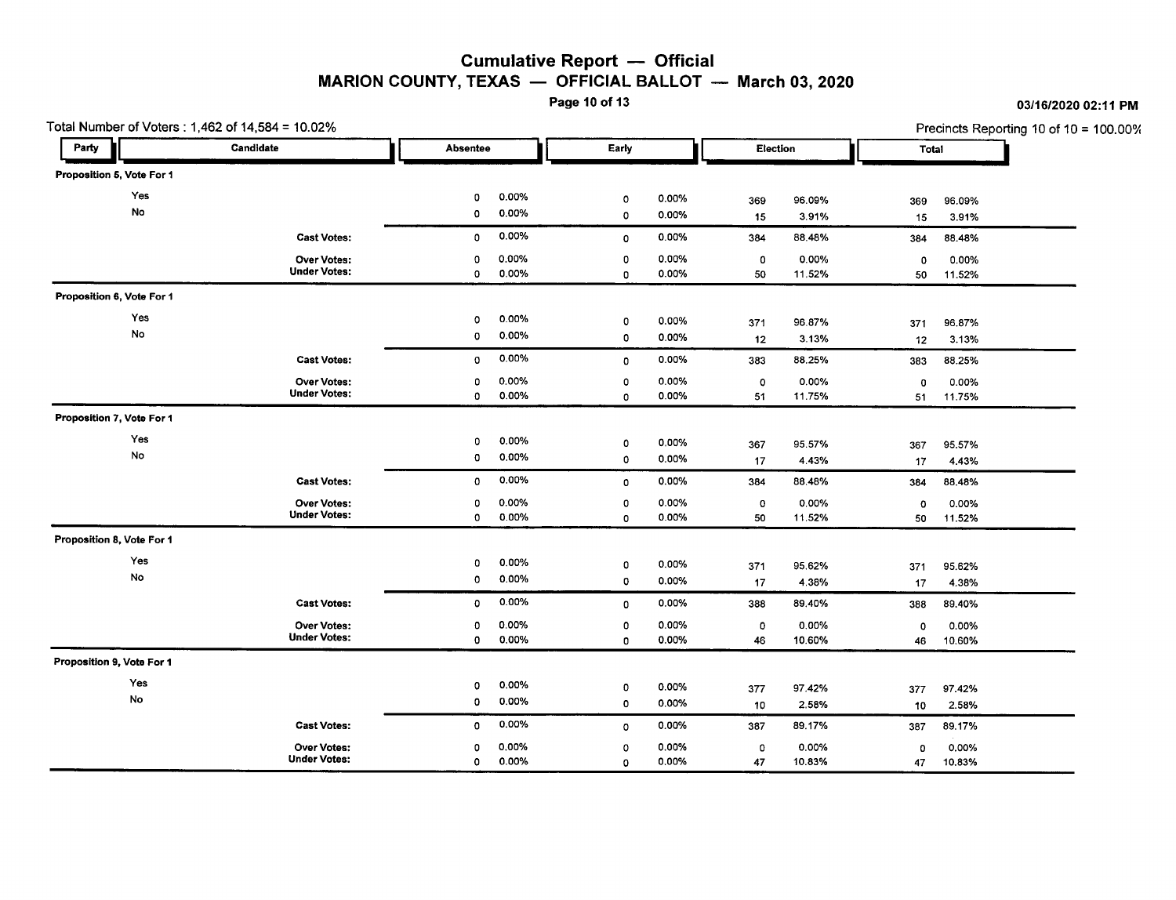### **Cumulative Report - Official** MARION COUNTY, TEXAS  $-$  OFFICIAL BALLOT  $-$  March 03, 2020<br>Page 10 of 13

Page 10 of 13 *03/16/2020* 02:11 PM

Total Number of Voters: 1,462 of 14,584 = 10.02% Precincts Reporting 10 of 10 = 100.00% I Party **Party 2** Candidate **.1** Absentee **Early Election Total** Proposition 6, Vote For 1 **•** Yes <sup>0</sup> 0.00% <sup>0</sup> 0.00% <sup>369</sup> 96.09% <sup>369</sup> 96.09% No <sup>0</sup> 0.00% <sup>0</sup> 0.00% <sup>15</sup> 3.91% <sup>15</sup> 3.91% Cast Votes: 0 0.00% 0 0.00% 384 88.48% 384 88.48% Over Votes: 0 0.00% 0 0.00% 0 0.00% 0 0.00% Under Votes: 0 0.00% 0 0.00% 50 11.52% 50 11.52% Proposition 6, Vote For 1 Yes <sup>0</sup> 0.00% <sup>0</sup> 0.00% <sup>371</sup> 96.87% <sup>371</sup> 96.87% No <sup>0</sup> 0.00% <sup>0</sup> 0.00% <sup>12</sup> 3.13% <sup>12</sup> 3.13% Cast Votes: 0 0.00% 0 0.00% 383 88.25% 383 88.25% Over Votes: 0 0.00% 0 0.00% 0 0.00% 0 0.00% Under Votes: <sup>0</sup> 0.00% <sup>0</sup> 0.00% <sup>51</sup> 11.75% <sup>51</sup> 11.75% Proposition 7, Vote For 1 Yes <sup>0</sup> 0.00% <sup>0</sup> 0.00% <sup>367</sup> 95.57% <sup>367</sup> 95.57% No <sup>0</sup> 0.00% <sup>0</sup> 0.00% <sup>17</sup> 4.43% <sup>17</sup> 4.43% Cast Votes: 0 0.00% 0 0.00% 384 88.48% 384 88.48% Over Votes: 0 0.00% 0 0.00% 0 0.00% 0 0.00% Under Votes: 0 0.00% 0 0.00% 50 11.52% 50 11.52% Proposition 8, Vote For 1 Yes <sup>0</sup> 0.00% <sup>0</sup> 0.00% <sup>371</sup> 95.62% <sup>371</sup> 95.62% No <sup>0</sup> 0.00% <sup>0</sup> 0.00% <sup>17</sup> 4.38% <sup>17</sup> 4.38% Cast Votes: 0 0.00% 0 0.00% 388 89.40% 388 89.40% Over Votes: 0 0.00% 0 0.00% 0 0.00% 0 0.00% Under Votes: <sup>0</sup> 0.00% <sup>0</sup> 0.00% <sup>46</sup> 10.60% <sup>46</sup> 10.60% Proposition 9, Vote For 1 Yes <sup>0</sup> 0.00% <sup>0</sup> 0.00% <sup>377</sup> 97.42% <sup>377</sup> 97.42% No <sup>0</sup> 0.00% <sup>0</sup> 0.00% <sup>10</sup> 2.58% <sup>10</sup> 2.58% Cast Votes: 0 0.00% 0 0.00% 387 89.17% 387 89.17% Over Votes: 0 0.00% 0 0.00% 0 0.00% 0 0.00% Under Votes: <sup>0</sup> 0.00% <sup>0</sup> 0.00% <sup>47</sup> 10.83% <sup>47</sup> 10.83%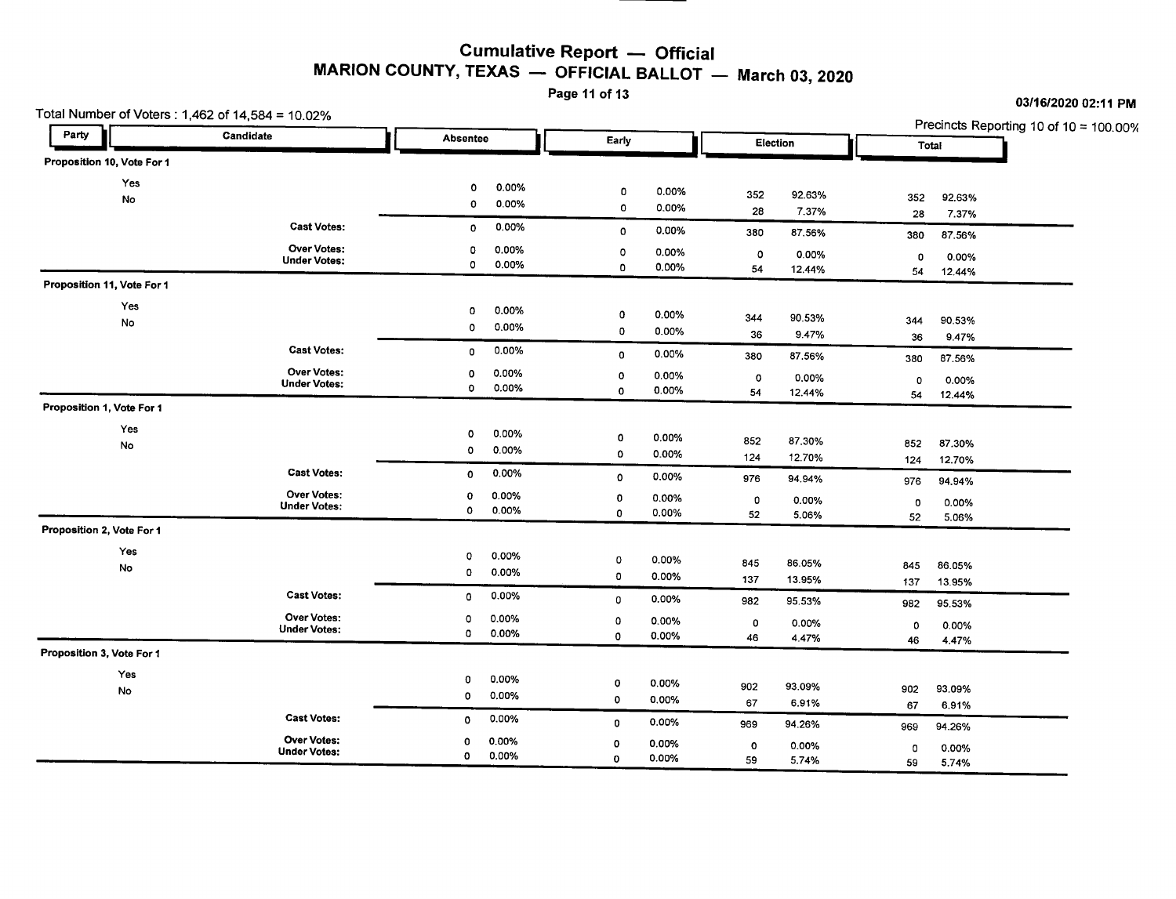#### **Cumulative Report - Official** MARION COUNTY, TEXAS  $-$  OFFICIAL BALLOT  $-$  March 03, 2020

Page 11 of 13

#### Party Precincts Reporting 10 of 10 = 100.00%<br> **Precincts Reporting 10 of 10 = 100.00%**<br> **Precincts Reporting 10 of 10 = 100.00%** Party **2** Candidate Candidate Absentee **Early Election** Felection Total **II Absentee** ... Total **I** Proposition 10, Vote For 1 Yes No <sup>0</sup> 0.00% <sup>0</sup> 0.00% <sup>352</sup> 92.63% <sup>352</sup> 92.63% <sup>0</sup> 0.00% <sup>0</sup> 0.00% <sup>28</sup> 7.37% <sup>28</sup> 7.37% Cast Votes: <sup>0</sup> 0.00% <sup>0</sup> 0.00% <sup>380</sup> 87.56% <sup>380</sup> 87.56% Under Votes: **Over Votes:** Votes: <sup>0</sup> 0.00% <sup>0</sup> 0.00% <sup>0</sup> 0.00% <sup>0</sup> 0.00%  $0$  0.00% 0.00% 54 12.44% 54 12.44% Proposition 11, Vote For 1 Yes No <sup>0</sup> 0.00% <sup>0</sup> 0.00% <sup>344</sup> 90.53% <sup>344</sup> 90.53% <sup>0</sup> 0.00% <sup>0</sup> 0.00% <sup>36</sup> 9.47% <sup>36</sup> 9.47% Cast Votes: 20 0 0.00% 0 0 0.00% 0 0.00% 0 0.00% 380 87.56% 0 380 87.56% Under Votes: **Over Votes:** Votes: <sup>0</sup> 0.00% <sup>0</sup> 0.00% <sup>0</sup> 0.00% <sup>0</sup> 0.00%  $0$  0.00% 0 0.00% 54 12.44% 54 12.44% Proposition 1, Vote For 1 Yes No <sup>0</sup> 0.00% <sup>0</sup> 0.00% <sup>852</sup> 87.30% <sup>852</sup> 87.30% 0 0.00% 0 0.00% 124 12.70% 124 12.70% 124 12.70% Cast Votes: Cast Votes: 0 0.00% 0 0.00% 0 0.00% 976 94.94% 976 976 976 976 978 Under Votes: **Over Votes:** Votes: <sup>0</sup> 0.00% <sup>0</sup> 0.00% <sup>0</sup> 0.00% <sup>0</sup> 0.00%  $0$  0.00% 0 0.00% 52 5.06% 52 5.06% Proposition 2, Vote For 1 Yes No <sup>0</sup> 0.00% <sup>0</sup> 0.00% <sup>845</sup> 86.05% <sup>845</sup> 86.05% <sup>0</sup> 0.00% <sup>0</sup> 0.00% <sup>137</sup> 13.95% <sup>137</sup> 13.95% Cast Votes: <sup>0</sup> 0.00% <sup>0</sup> 0.00% <sup>982</sup> 95.53% <sup>982</sup> 95.53% Under Votes: **Over Votes:** Votes: <sup>0</sup> 0.00% <sup>0</sup> 0.00% <sup>0</sup> 0.00% <sup>0</sup> 0.00%  $0$  0.00% 0 0.00% 46 4.47% 46 4.47% Proposition 3, Vote For 1 Yes No <sup>0</sup> 0.00% <sup>0</sup> 0.00% <sup>902</sup> 93.09% <sup>902</sup> 93.09%  $0$  0.00% 0 0.00% 67 6.91% 67 6.91% Cast Votes: <sup>0</sup> 0.00% <sup>0</sup> 0.00% <sup>969</sup> 94.26% <sup>969</sup> 94.26%

<sup>0</sup> 0.00% <sup>0</sup> 0.00% <sup>0</sup> 0.00% <sup>0</sup> 0.00% <sup>0</sup> 0.00% <sup>0</sup> 0.00% <sup>59</sup> 5.74% <sup>59</sup> 5.74%

Total Number of Voters : 1,462 of 14,584 = 10.02%

Under Votes: Over Votes: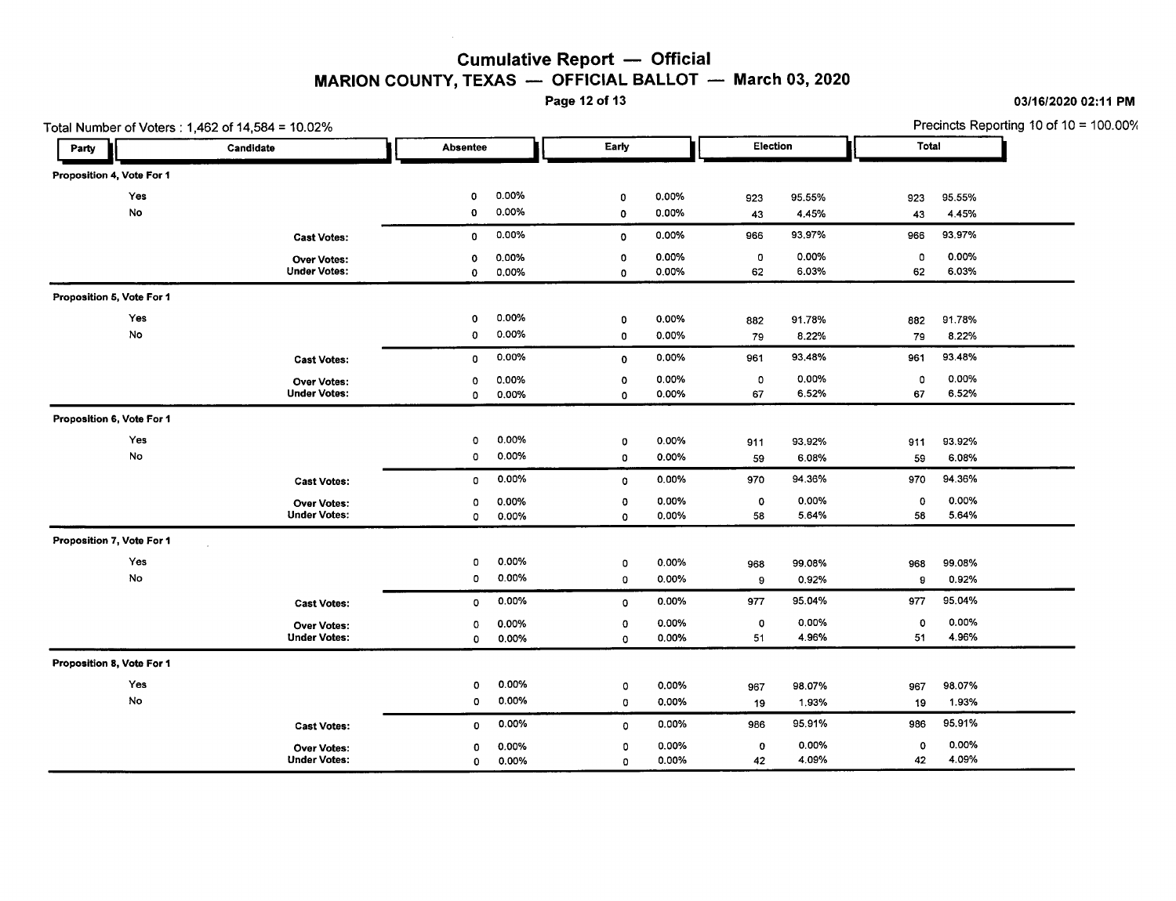### Cumulative Report - Official MARION COUNTY, TEXAS  $-$  OFFICIAL BALLOT  $-$  March 03, 2020<br>Page 12 of 13

Page 12 of 13 *03/16/202002:11* PM

Total Number of Voters: 1,462 of 14,584 = 10.02% 2012 10:00 10 10 10 10:00 10 10 10:00 10 10:00 10 10:00 10:00 10:00 10:00 10:00 10:00 10:00 10:00 10:00 10:00 10:00 10:00 10:00 10:00 10:00 10:00 10:00 10:00 10:00 10:00 10: I Party **Party 2** Candidate . Total . Absentee . Absentee . Early . Election . Total . Total . Total . Total . Total . Total . Total . Total . Total . Total . Total . Total . Total . Total . Total . Total . Total . Total . T **•** Proposition 4, Vote For 1 Yes 0 0.00% 0 0.00% 923 95.55% 923 95.55% No 0 0.00% 0 0.00% 43 4.45% 43 4.45% Cast Votes: 0 0.00% 0 0.00% 966 93.97% 966 93.97% Over Votes: 0 0.00% 0 0.00% 0 0.00% 0 0.00% Under Votes: 0 0.00% 0 0.00% 62 6.03% 62 6.03% Proposition 6, Vote For 1 Yes 0 0.00% 0 0.00% 882 91.78% 882 91.78% No 0 0.00% 0 0.00% 79 8.22% 79 8.22% Cast Votes: 0 0.00% 0 0.00% 961 93.48% 961 93.48% Over Votes: 0 0.00% 0 0.00% 0 0.00% 0 0.00% Under Votes: 0 0.00% 0 0.00% 67 6.52% 67 6.52% Proposition 6, Vote For 1 Yes 0 0.00% 0 0.00% 911 93.92% 911 93.92% No 0 0.00% 0 0.00% 59 6.08% 59 6.08% Cast Votes: 0 0.00% 0 0.00% 970 94.36% 970 94.36% Over Votes: 0 0.00% 0 0.00% 0 0.00% 0 0.00% Under Votes: 0 0.00% 0 0.00% 58 5.64% 58 5.64% Proposition 7, Vote For 1 Yes 0 0.00% 0 0.00% 968 99.08% 968 99.08% No 0 0.00% 0 0.00% 9 0.92% 9 0.92% Cast Votes: 0 0.00% 0 0.00% 977 95.04% 977 95.04% Over Votes: 0 0.00% 0 0.00% 0 0.00% 0 0.00% Under Votes: 0 0.00% 0 0.00% 51 4.96% 51 4.96% Proposition 8, Vote For 1 Yes 0 0.00% 0 0.00% 967 98.07% 967 98.07% No 0 0.00% 0 0.00% 19 1.93% 19 1.93% Cast Votes: 0 0.00% 0 0.00% 986 95.91% 986 95.91% Over Votes: 0 0.00% 0 0.00% 0 0.00% 0 0.00% Under Votes: 0 0.00% 0 0.00% 42 4.09% 42 4.09%